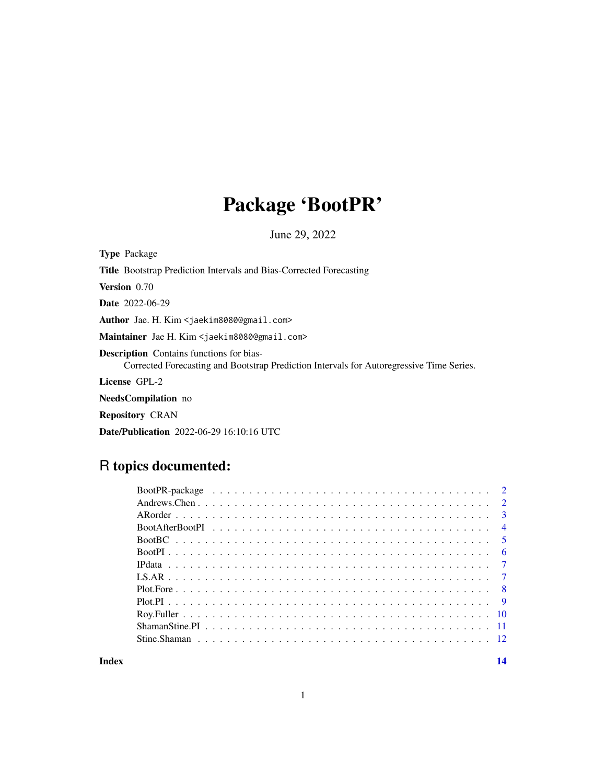# Package 'BootPR'

June 29, 2022

Type Package

Title Bootstrap Prediction Intervals and Bias-Corrected Forecasting

Version 0.70

Date 2022-06-29

Author Jae. H. Kim <jaekim8080@gmail.com>

Maintainer Jae H. Kim <jaekim8080@gmail.com>

Description Contains functions for bias-

Corrected Forecasting and Bootstrap Prediction Intervals for Autoregressive Time Series.

License GPL-2

NeedsCompilation no

Repository CRAN

Date/Publication 2022-06-29 16:10:16 UTC

# R topics documented:

**Index** 2008 **[14](#page-13-0)**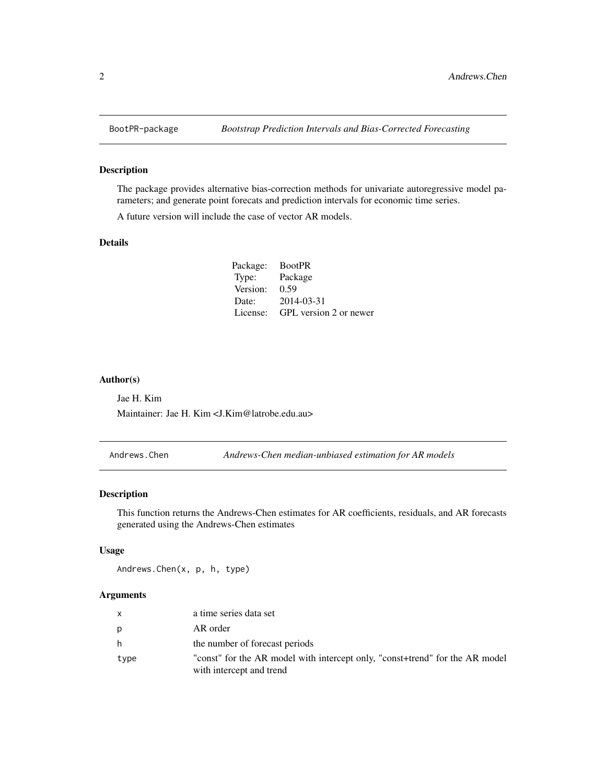The package provides alternative bias-correction methods for univariate autoregressive model parameters; and generate point forecats and prediction intervals for economic time series.

A future version will include the case of vector AR models.

#### Details

| Package: | <b>BootPR</b>          |
|----------|------------------------|
| Type:    | Package                |
| Version: | 0.59                   |
| Date:    | 2014-03-31             |
| License: | GPL version 2 or newer |

#### Author(s)

Jae H. Kim Maintainer: Jae H. Kim <J.Kim@latrobe.edu.au>

Andrews.Chen *Andrews-Chen median-unbiased estimation for AR models*

# Description

This function returns the Andrews-Chen estimates for AR coefficients, residuals, and AR forecasts generated using the Andrews-Chen estimates

# Usage

Andrews.Chen(x, p, h, type)

#### Arguments

| $\mathsf{x}$ | a time series data set                                                                                   |
|--------------|----------------------------------------------------------------------------------------------------------|
| p            | AR order                                                                                                 |
| h            | the number of forecast periods                                                                           |
| type         | "const" for the AR model with intercept only, "const+trend" for the AR model<br>with intercept and trend |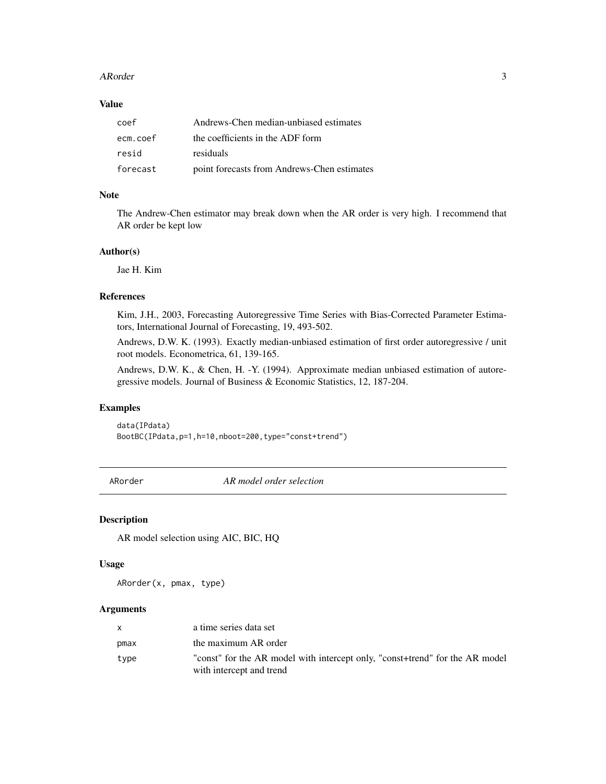#### <span id="page-2-0"></span>ARorder 3

# Value

| coef     | Andrews-Chen median-unbiased estimates      |
|----------|---------------------------------------------|
| ecm.coef | the coefficients in the ADF form            |
| resid    | residuals                                   |
| forecast | point forecasts from Andrews-Chen estimates |

# Note

The Andrew-Chen estimator may break down when the AR order is very high. I recommend that AR order be kept low

# Author(s)

Jae H. Kim

#### References

Kim, J.H., 2003, Forecasting Autoregressive Time Series with Bias-Corrected Parameter Estimators, International Journal of Forecasting, 19, 493-502.

Andrews, D.W. K. (1993). Exactly median-unbiased estimation of first order autoregressive / unit root models. Econometrica, 61, 139-165.

Andrews, D.W. K., & Chen, H. -Y. (1994). Approximate median unbiased estimation of autoregressive models. Journal of Business & Economic Statistics, 12, 187-204.

#### Examples

data(IPdata) BootBC(IPdata,p=1,h=10,nboot=200,type="const+trend")

ARorder *AR model order selection*

#### Description

AR model selection using AIC, BIC, HQ

#### Usage

ARorder(x, pmax, type)

#### Arguments

| $\mathsf{x}$ | a time series data set                                                                                   |
|--------------|----------------------------------------------------------------------------------------------------------|
| pmax         | the maximum AR order                                                                                     |
| type         | "const" for the AR model with intercept only, "const+trend" for the AR model<br>with intercept and trend |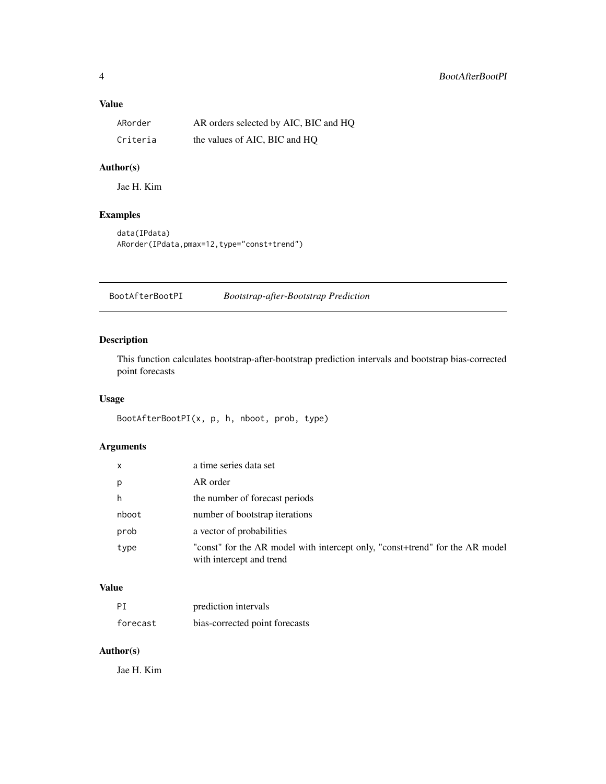# <span id="page-3-0"></span>Value

| ARorder  | AR orders selected by AIC, BIC and HQ |
|----------|---------------------------------------|
| Criteria | the values of AIC, BIC and HQ         |

# Author(s)

Jae H. Kim

# Examples

```
data(IPdata)
ARorder(IPdata,pmax=12,type="const+trend")
```
BootAfterBootPI *Bootstrap-after-Bootstrap Prediction*

# Description

This function calculates bootstrap-after-bootstrap prediction intervals and bootstrap bias-corrected point forecasts

# Usage

BootAfterBootPI(x, p, h, nboot, prob, type)

# Arguments

| $\mathsf{x}$ | a time series data set                                                                                   |
|--------------|----------------------------------------------------------------------------------------------------------|
| p            | AR order                                                                                                 |
| h            | the number of forecast periods                                                                           |
| nboot        | number of bootstrap iterations                                                                           |
| prob         | a vector of probabilities                                                                                |
| type         | "const" for the AR model with intercept only, "const+trend" for the AR model<br>with intercept and trend |

# Value

| ΡI       | prediction intervals           |
|----------|--------------------------------|
| forecast | bias-corrected point forecasts |

# Author(s)

Jae H. Kim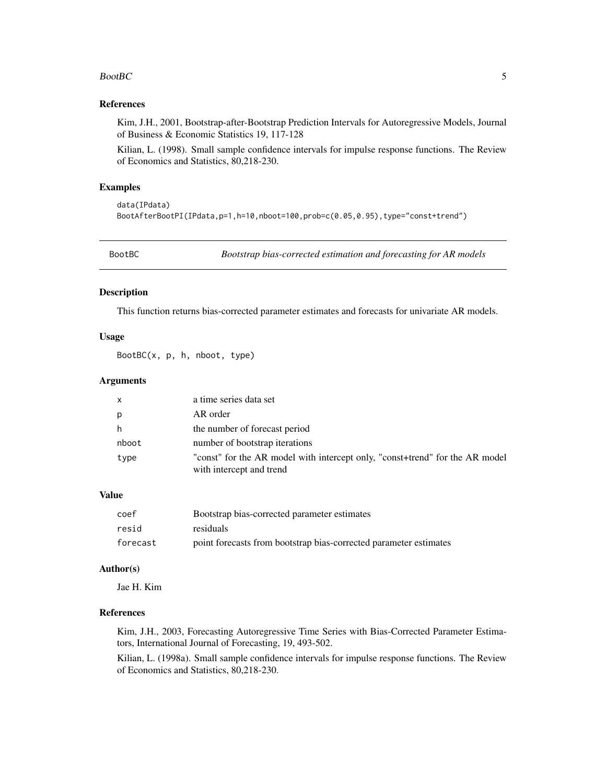#### <span id="page-4-0"></span> $Boot BC$  5

#### References

Kim, J.H., 2001, Bootstrap-after-Bootstrap Prediction Intervals for Autoregressive Models, Journal of Business & Economic Statistics 19, 117-128

Kilian, L. (1998). Small sample confidence intervals for impulse response functions. The Review of Economics and Statistics, 80,218-230.

#### Examples

```
data(IPdata)
BootAfterBootPI(IPdata,p=1,h=10,nboot=100,prob=c(0.05,0.95),type="const+trend")
```
BootBC *Bootstrap bias-corrected estimation and forecasting for AR models*

#### Description

This function returns bias-corrected parameter estimates and forecasts for univariate AR models.

#### Usage

BootBC(x, p, h, nboot, type)

# Arguments

|       | a time series data set                                                                                   |
|-------|----------------------------------------------------------------------------------------------------------|
|       | AR order                                                                                                 |
|       | the number of forecast period                                                                            |
| nboot | number of bootstrap iterations                                                                           |
| type  | "const" for the AR model with intercept only, "const+trend" for the AR model<br>with intercept and trend |

# Value

| coef     | Bootstrap bias-corrected parameter estimates                      |
|----------|-------------------------------------------------------------------|
| resid    | residuals                                                         |
| forecast | point forecasts from bootstrap bias-corrected parameter estimates |

#### Author(s)

Jae H. Kim

# References

Kim, J.H., 2003, Forecasting Autoregressive Time Series with Bias-Corrected Parameter Estimators, International Journal of Forecasting, 19, 493-502.

Kilian, L. (1998a). Small sample confidence intervals for impulse response functions. The Review of Economics and Statistics, 80,218-230.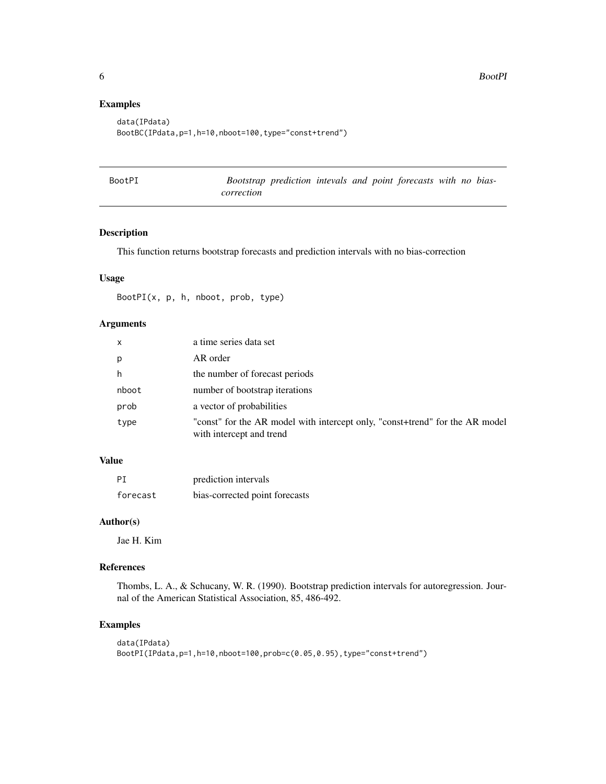# Examples

```
data(IPdata)
BootBC(IPdata,p=1,h=10,nboot=100,type="const+trend")
```

| BootPI |            | Bootstrap prediction intevals and point forecasts with no bias- |  |  |  |  |
|--------|------------|-----------------------------------------------------------------|--|--|--|--|
|        | correction |                                                                 |  |  |  |  |

# Description

This function returns bootstrap forecasts and prediction intervals with no bias-correction

# Usage

BootPI(x, p, h, nboot, prob, type)

# Arguments

| $\mathsf{x}$ | a time series data set                                                                                   |
|--------------|----------------------------------------------------------------------------------------------------------|
| p            | AR order                                                                                                 |
| h            | the number of forecast periods                                                                           |
| nboot        | number of bootstrap iterations                                                                           |
| prob         | a vector of probabilities                                                                                |
| type         | "const" for the AR model with intercept only, "const+trend" for the AR model<br>with intercept and trend |

# Value

| PI       | prediction intervals           |
|----------|--------------------------------|
| forecast | bias-corrected point forecasts |

## Author(s)

Jae H. Kim

#### References

Thombs, L. A., & Schucany, W. R. (1990). Bootstrap prediction intervals for autoregression. Journal of the American Statistical Association, 85, 486-492.

# Examples

```
data(IPdata)
BootPI(IPdata,p=1,h=10,nboot=100,prob=c(0.05,0.95),type="const+trend")
```
<span id="page-5-0"></span>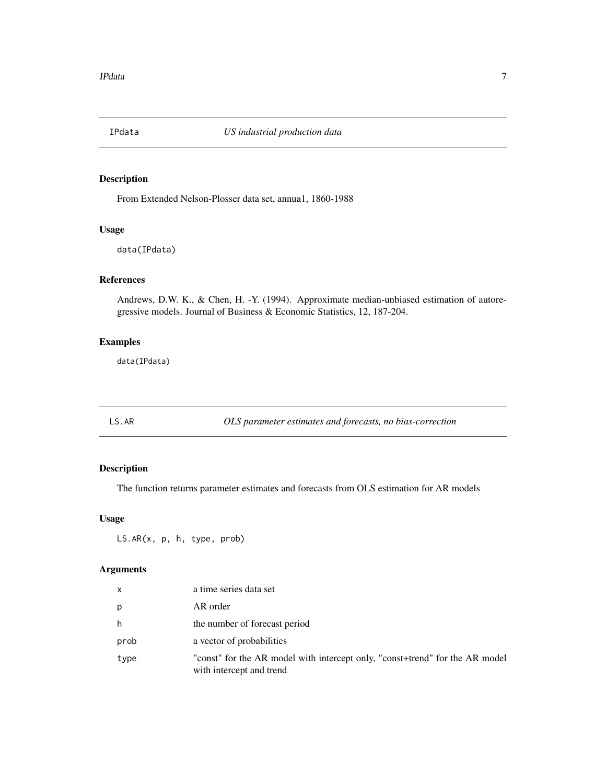<span id="page-6-0"></span>

From Extended Nelson-Plosser data set, annua1, 1860-1988

# Usage

data(IPdata)

#### References

Andrews, D.W. K., & Chen, H. -Y. (1994). Approximate median-unbiased estimation of autoregressive models. Journal of Business & Economic Statistics, 12, 187-204.

# Examples

data(IPdata)

LS.AR *OLS parameter estimates and forecasts, no bias-correction*

# Description

The function returns parameter estimates and forecasts from OLS estimation for AR models

#### Usage

LS.AR(x, p, h, type, prob)

#### Arguments

| $\mathsf{x}$ | a time series data set                                                                                   |
|--------------|----------------------------------------------------------------------------------------------------------|
| p            | AR order                                                                                                 |
| h            | the number of forecast period                                                                            |
| prob         | a vector of probabilities                                                                                |
| type         | "const" for the AR model with intercept only, "const+trend" for the AR model<br>with intercept and trend |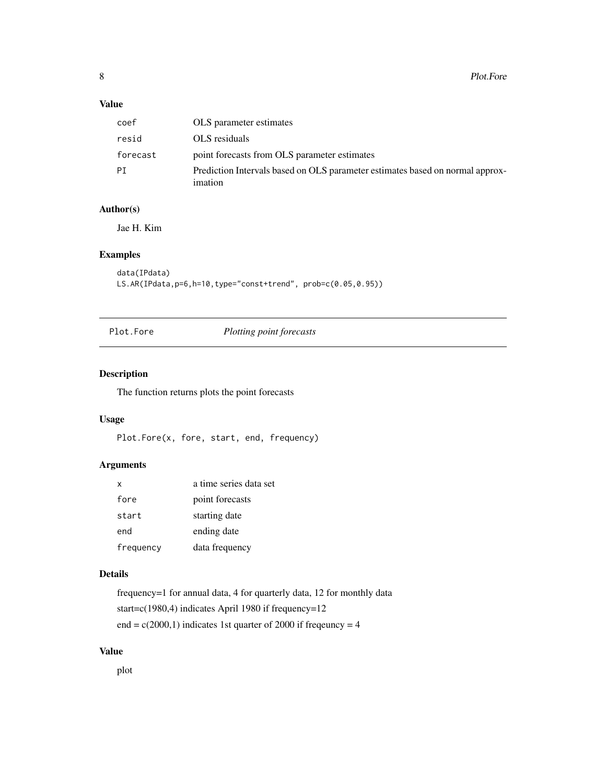# <span id="page-7-0"></span>Value

| coef      | OLS parameter estimates                                                                  |
|-----------|------------------------------------------------------------------------------------------|
| resid     | OLS residuals                                                                            |
| forecast  | point forecasts from OLS parameter estimates                                             |
| <b>PT</b> | Prediction Intervals based on OLS parameter estimates based on normal approx-<br>imation |

## Author(s)

Jae H. Kim

# Examples

```
data(IPdata)
LS.AR(IPdata,p=6,h=10,type="const+trend", prob=c(0.05,0.95))
```
Plot.Fore *Plotting point forecasts*

# Description

The function returns plots the point forecasts

# Usage

```
Plot.Fore(x, fore, start, end, frequency)
```
# Arguments

| x         | a time series data set |
|-----------|------------------------|
| fore      | point forecasts        |
| start     | starting date          |
| end       | ending date            |
| frequency | data frequency         |

# Details

frequency=1 for annual data, 4 for quarterly data, 12 for monthly data start=c(1980,4) indicates April 1980 if frequency=12 end =  $c(2000,1)$  indicates 1st quarter of 2000 if freqeuncy = 4

# Value

plot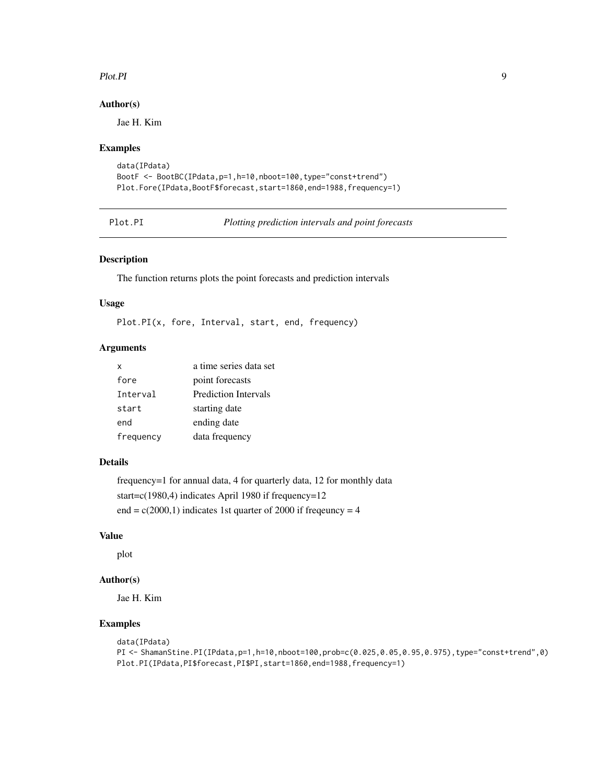#### <span id="page-8-0"></span>Plot.PI 9

# Author(s)

Jae H. Kim

#### Examples

```
data(IPdata)
BootF <- BootBC(IPdata,p=1,h=10,nboot=100,type="const+trend")
Plot.Fore(IPdata,BootF$forecast,start=1860,end=1988,frequency=1)
```
Plot.PI *Plotting prediction intervals and point forecasts*

# Description

The function returns plots the point forecasts and prediction intervals

#### Usage

Plot.PI(x, fore, Interval, start, end, frequency)

#### Arguments

| x         | a time series data set |
|-----------|------------------------|
| fore      | point forecasts        |
| Interval  | Prediction Intervals   |
| start     | starting date          |
| end       | ending date            |
| frequency | data frequency         |

# Details

frequency=1 for annual data, 4 for quarterly data, 12 for monthly data start=c(1980,4) indicates April 1980 if frequency=12 end =  $c(2000,1)$  indicates 1st quarter of 2000 if freqeuncy = 4

#### Value

plot

#### Author(s)

Jae H. Kim

#### Examples

```
data(IPdata)
PI <- ShamanStine.PI(IPdata,p=1,h=10,nboot=100,prob=c(0.025,0.05,0.95,0.975),type="const+trend",0)
Plot.PI(IPdata,PI$forecast,PI$PI,start=1860,end=1988,frequency=1)
```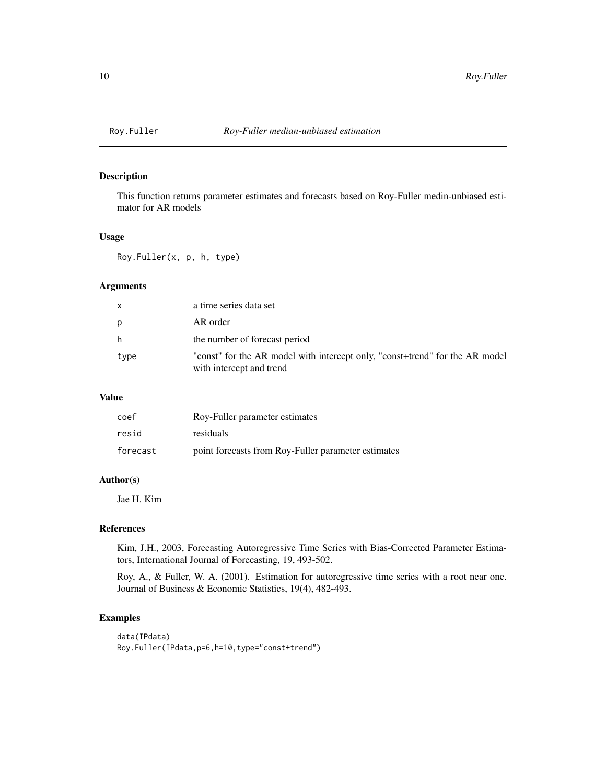<span id="page-9-0"></span>

This function returns parameter estimates and forecasts based on Roy-Fuller medin-unbiased estimator for AR models

#### Usage

Roy.Fuller(x, p, h, type)

#### Arguments

| $\mathsf{x}$ | a time series data set                                                                                   |
|--------------|----------------------------------------------------------------------------------------------------------|
| p            | AR order                                                                                                 |
| h            | the number of forecast period                                                                            |
| type         | "const" for the AR model with intercept only, "const+trend" for the AR model<br>with intercept and trend |

#### Value

| coef     | Roy-Fuller parameter estimates                      |
|----------|-----------------------------------------------------|
| resid    | residuals                                           |
| forecast | point forecasts from Roy-Fuller parameter estimates |

#### Author(s)

Jae H. Kim

# References

Kim, J.H., 2003, Forecasting Autoregressive Time Series with Bias-Corrected Parameter Estimators, International Journal of Forecasting, 19, 493-502.

Roy, A., & Fuller, W. A. (2001). Estimation for autoregressive time series with a root near one. Journal of Business & Economic Statistics, 19(4), 482-493.

# Examples

```
data(IPdata)
Roy.Fuller(IPdata,p=6,h=10,type="const+trend")
```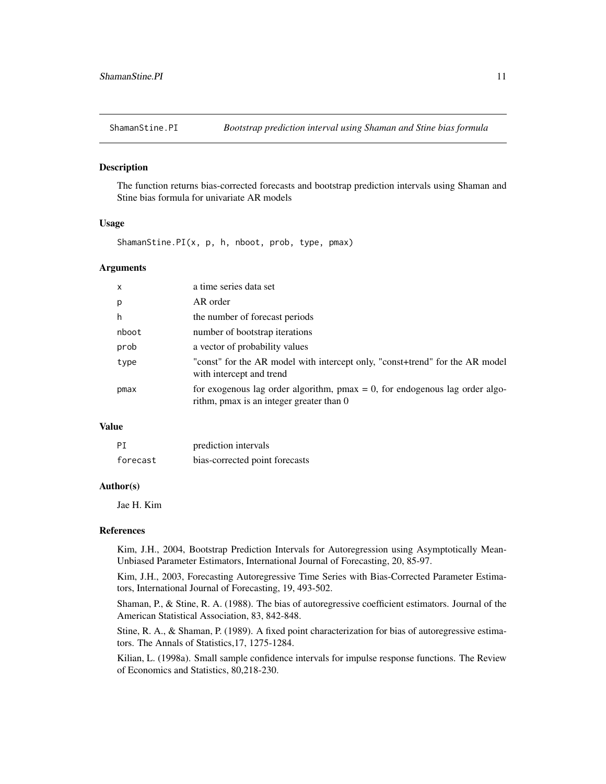<span id="page-10-0"></span>

The function returns bias-corrected forecasts and bootstrap prediction intervals using Shaman and Stine bias formula for univariate AR models

# Usage

ShamanStine.PI(x, p, h, nboot, prob, type, pmax)

#### **Arguments**

| $\mathsf{x}$ | a time series data set                                                                                                     |
|--------------|----------------------------------------------------------------------------------------------------------------------------|
| p            | AR order                                                                                                                   |
| h            | the number of forecast periods                                                                                             |
| nboot        | number of bootstrap iterations                                                                                             |
| prob         | a vector of probability values                                                                                             |
| type         | "const" for the AR model with intercept only, "const+trend" for the AR model<br>with intercept and trend                   |
| pmax         | for exogenous lag order algorithm, $pmax = 0$ , for endogenous lag order algo-<br>rithm, pmax is an integer greater than 0 |

# Value

| PI       | prediction intervals           |
|----------|--------------------------------|
| forecast | bias-corrected point forecasts |

#### Author(s)

Jae H. Kim

#### References

Kim, J.H., 2004, Bootstrap Prediction Intervals for Autoregression using Asymptotically Mean-Unbiased Parameter Estimators, International Journal of Forecasting, 20, 85-97.

Kim, J.H., 2003, Forecasting Autoregressive Time Series with Bias-Corrected Parameter Estimators, International Journal of Forecasting, 19, 493-502.

Shaman, P., & Stine, R. A. (1988). The bias of autoregressive coefficient estimators. Journal of the American Statistical Association, 83, 842-848.

Stine, R. A., & Shaman, P. (1989). A fixed point characterization for bias of autoregressive estimators. The Annals of Statistics,17, 1275-1284.

Kilian, L. (1998a). Small sample confidence intervals for impulse response functions. The Review of Economics and Statistics, 80,218-230.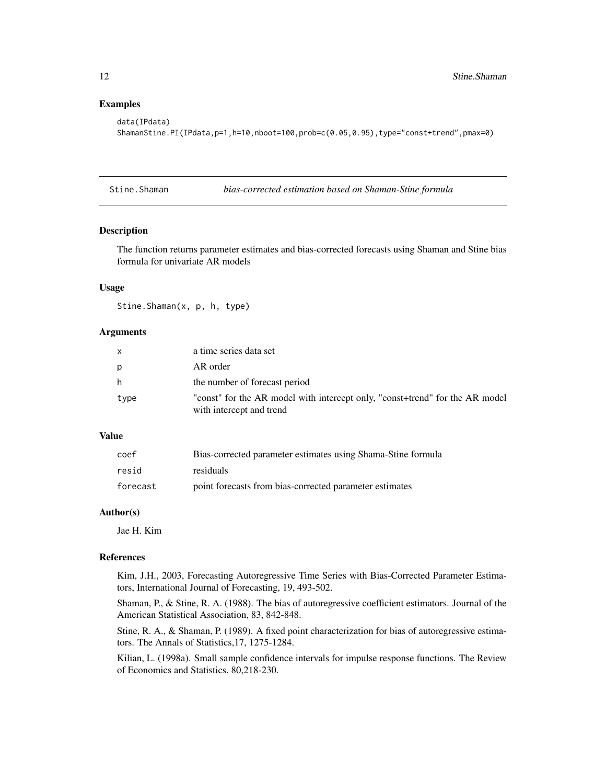#### <span id="page-11-0"></span>Examples

```
data(IPdata)
ShamanStine.PI(IPdata,p=1,h=10,nboot=100,prob=c(0.05,0.95),type="const+trend",pmax=0)
```
Stine.Shaman *bias-corrected estimation based on Shaman-Stine formula*

#### Description

The function returns parameter estimates and bias-corrected forecasts using Shaman and Stine bias formula for univariate AR models

# Usage

Stine.Shaman(x, p, h, type)

# Arguments

| $\mathsf{x}$ | a time series data set                                                                                   |
|--------------|----------------------------------------------------------------------------------------------------------|
| p            | AR order                                                                                                 |
| h            | the number of forecast period                                                                            |
| type         | "const" for the AR model with intercept only, "const+trend" for the AR model<br>with intercept and trend |

#### Value

| coef     | Bias-corrected parameter estimates using Shama-Stine formula |
|----------|--------------------------------------------------------------|
| resid    | residuals                                                    |
| forecast | point forecasts from bias-corrected parameter estimates      |

# Author(s)

Jae H. Kim

#### References

Kim, J.H., 2003, Forecasting Autoregressive Time Series with Bias-Corrected Parameter Estimators, International Journal of Forecasting, 19, 493-502.

Shaman, P., & Stine, R. A. (1988). The bias of autoregressive coefficient estimators. Journal of the American Statistical Association, 83, 842-848.

Stine, R. A., & Shaman, P. (1989). A fixed point characterization for bias of autoregressive estimators. The Annals of Statistics,17, 1275-1284.

Kilian, L. (1998a). Small sample confidence intervals for impulse response functions. The Review of Economics and Statistics, 80,218-230.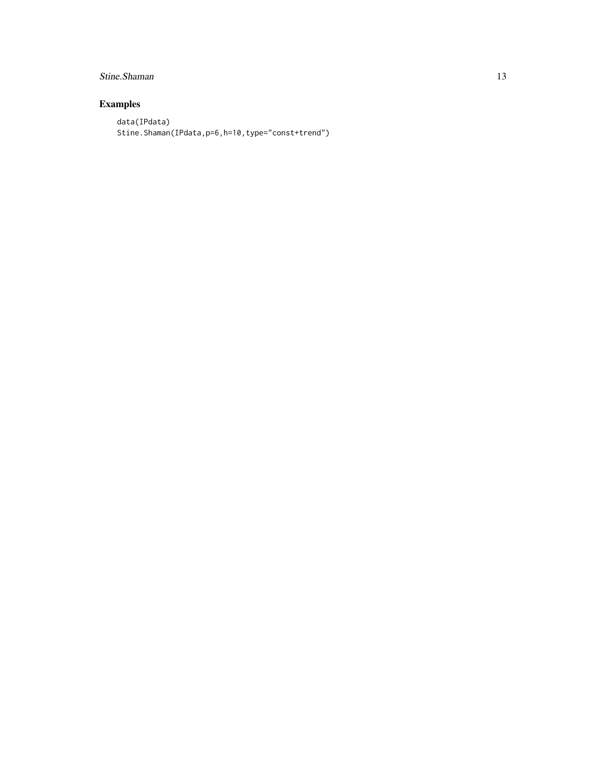# Stine.Shaman 13

# Examples

data(IPdata) Stine.Shaman(IPdata,p=6,h=10,type="const+trend")